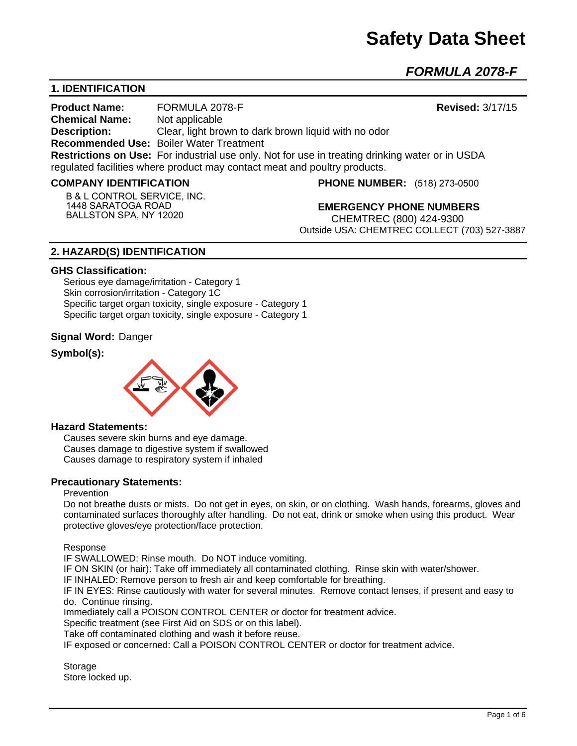*FORMULA 2078-F* 

# **1. IDENTIFICATION**

**Product Name:** FORMULA 2078-F **Revised:** 3/17/15 **Chemical Name:** Not applicable **Description:** Clear, light brown to dark brown liquid with no odor **Recommended Use:** Boiler Water Treatment **Restrictions on Use:** For industrial use only. Not for use in treating drinking water or in USDA regulated facilities where product may contact meat and poultry products.

#### **COMPANY IDENTIFICATION**

**B & L CONTROL SERVICE, INC. 1448 SARATOGA ROAD BALLSTON SPA, NY 12020**

**PHONE NUMBER:** (518) 273-0500

**EMERGENCY PHONE NUMBERS** CHEMTREC (800) 424-9300 Outside USA: CHEMTREC COLLECT (703) 527-3887

# **2. HAZARD(S) IDENTIFICATION**

#### **GHS Classification:**

Serious eye damage/irritation - Category 1 Skin corrosion/irritation - Category 1C Specific target organ toxicity, single exposure - Category 1 Specific target organ toxicity, single exposure - Category 1

### **Signal Word:** Danger

# **Symbol(s):**



#### **Hazard Statements:**

Causes severe skin burns and eye damage. Causes damage to digestive system if swallowed Causes damage to respiratory system if inhaled

### **Precautionary Statements:**

#### Prevention

Do not breathe dusts or mists. Do not get in eyes, on skin, or on clothing. Wash hands, forearms, gloves and contaminated surfaces thoroughly after handling. Do not eat, drink or smoke when using this product. Wear protective gloves/eye protection/face protection.

Response

IF SWALLOWED: Rinse mouth. Do NOT induce vomiting.

IF ON SKIN (or hair): Take off immediately all contaminated clothing. Rinse skin with water/shower.

IF INHALED: Remove person to fresh air and keep comfortable for breathing.

IF IN EYES: Rinse cautiously with water for several minutes. Remove contact lenses, if present and easy to do. Continue rinsing.

Immediately call a POISON CONTROL CENTER or doctor for treatment advice.

Specific treatment (see First Aid on SDS or on this label).

Take off contaminated clothing and wash it before reuse.

IF exposed or concerned: Call a POISON CONTROL CENTER or doctor for treatment advice.

**Storage** Store locked up.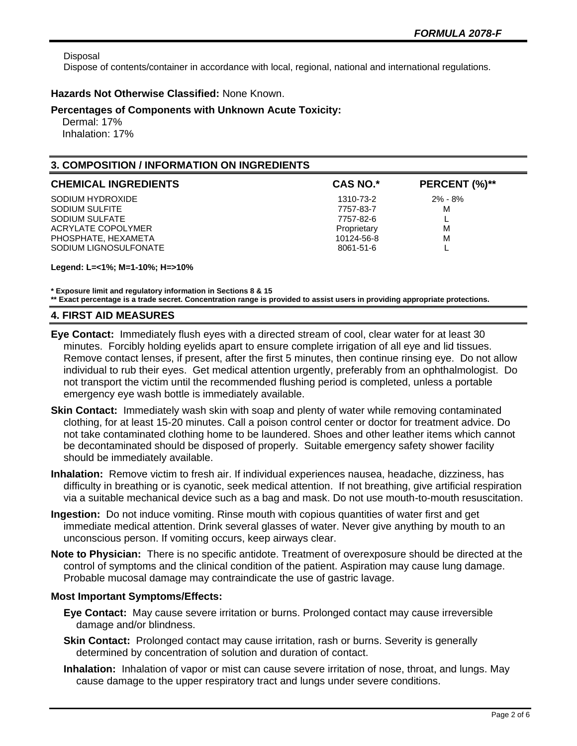Disposal

Dispose of contents/container in accordance with local, regional, national and international regulations.

## **Hazards Not Otherwise Classified:** None Known.

### **Percentages of Components with Unknown Acute Toxicity:**

 Dermal: 17% Inhalation: 17%

# **3. COMPOSITION / INFORMATION ON INGREDIENTS**

| <b>CHEMICAL INGREDIENTS</b> | <b>CAS NO.*</b> | PERCENT (%)** |
|-----------------------------|-----------------|---------------|
| SODIUM HYDROXIDE            | 1310-73-2       | $2\% - 8\%$   |
| SODIUM SULFITE              | 7757-83-7       | M             |
| SODIUM SULFATE              | 7757-82-6       | ட             |
| ACRYLATE COPOLYMER          | Proprietary     | M             |
| PHOSPHATE, HEXAMETA         | 10124-56-8      | M             |
| SODIUM LIGNOSULFONATE       | 8061-51-6       |               |

**Legend: L=<1%; M=1-10%; H=>10%**

**\* Exposure limit and regulatory information in Sections 8 & 15**

**\*\* Exact percentage is a trade secret. Concentration range is provided to assist users in providing appropriate protections.**

## **4. FIRST AID MEASURES**

- **Eye Contact:** Immediately flush eyes with a directed stream of cool, clear water for at least 30 minutes. Forcibly holding eyelids apart to ensure complete irrigation of all eye and lid tissues. Remove contact lenses, if present, after the first 5 minutes, then continue rinsing eye. Do not allow individual to rub their eyes. Get medical attention urgently, preferably from an ophthalmologist. Do not transport the victim until the recommended flushing period is completed, unless a portable emergency eye wash bottle is immediately available.
- **Skin Contact:** Immediately wash skin with soap and plenty of water while removing contaminated clothing, for at least 15-20 minutes. Call a poison control center or doctor for treatment advice. Do not take contaminated clothing home to be laundered. Shoes and other leather items which cannot be decontaminated should be disposed of properly. Suitable emergency safety shower facility should be immediately available.
- **Inhalation:** Remove victim to fresh air. If individual experiences nausea, headache, dizziness, has difficulty in breathing or is cyanotic, seek medical attention. If not breathing, give artificial respiration via a suitable mechanical device such as a bag and mask. Do not use mouth-to-mouth resuscitation.
- **Ingestion:** Do not induce vomiting. Rinse mouth with copious quantities of water first and get immediate medical attention. Drink several glasses of water. Never give anything by mouth to an unconscious person. If vomiting occurs, keep airways clear.
- **Note to Physician:** There is no specific antidote. Treatment of overexposure should be directed at the control of symptoms and the clinical condition of the patient. Aspiration may cause lung damage. Probable mucosal damage may contraindicate the use of gastric lavage.

# **Most Important Symptoms/Effects:**

- **Eye Contact:** May cause severe irritation or burns. Prolonged contact may cause irreversible damage and/or blindness.
- **Skin Contact:** Prolonged contact may cause irritation, rash or burns. Severity is generally determined by concentration of solution and duration of contact.
- **Inhalation:** Inhalation of vapor or mist can cause severe irritation of nose, throat, and lungs. May cause damage to the upper respiratory tract and lungs under severe conditions.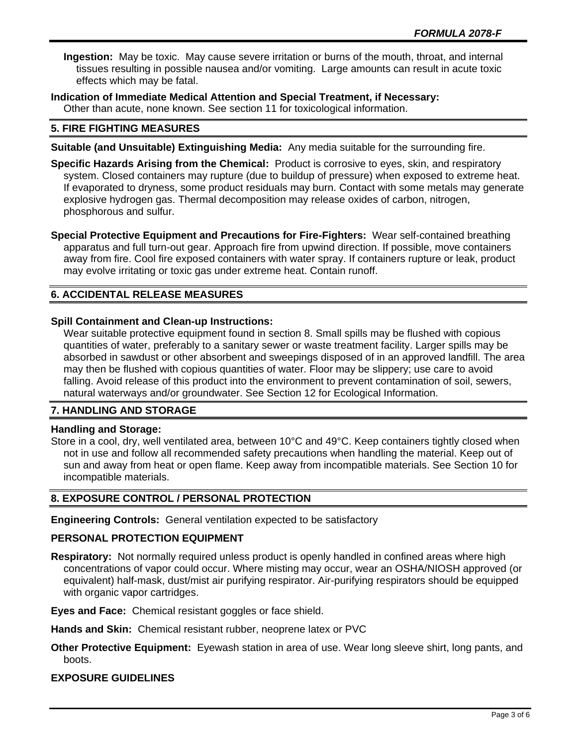**Ingestion:** May be toxic. May cause severe irritation or burns of the mouth, throat, and internal tissues resulting in possible nausea and/or vomiting. Large amounts can result in acute toxic effects which may be fatal.

**Indication of Immediate Medical Attention and Special Treatment, if Necessary:** Other than acute, none known. See section 11 for toxicological information.

## **5. FIRE FIGHTING MEASURES**

- **Suitable (and Unsuitable) Extinguishing Media:** Any media suitable for the surrounding fire.
- **Specific Hazards Arising from the Chemical:** Product is corrosive to eyes, skin, and respiratory system. Closed containers may rupture (due to buildup of pressure) when exposed to extreme heat. If evaporated to dryness, some product residuals may burn. Contact with some metals may generate explosive hydrogen gas. Thermal decomposition may release oxides of carbon, nitrogen, phosphorous and sulfur.

**Special Protective Equipment and Precautions for Fire-Fighters:** Wear self-contained breathing apparatus and full turn-out gear. Approach fire from upwind direction. If possible, move containers away from fire. Cool fire exposed containers with water spray. If containers rupture or leak, product may evolve irritating or toxic gas under extreme heat. Contain runoff.

# **6. ACCIDENTAL RELEASE MEASURES**

## **Spill Containment and Clean-up Instructions:**

Wear suitable protective equipment found in section 8. Small spills may be flushed with copious quantities of water, preferably to a sanitary sewer or waste treatment facility. Larger spills may be absorbed in sawdust or other absorbent and sweepings disposed of in an approved landfill. The area may then be flushed with copious quantities of water. Floor may be slippery; use care to avoid falling. Avoid release of this product into the environment to prevent contamination of soil, sewers, natural waterways and/or groundwater. See Section 12 for Ecological Information.

### **7. HANDLING AND STORAGE**

### **Handling and Storage:**

Store in a cool, dry, well ventilated area, between 10°C and 49°C. Keep containers tightly closed when not in use and follow all recommended safety precautions when handling the material. Keep out of sun and away from heat or open flame. Keep away from incompatible materials. See Section 10 for incompatible materials.

### **8. EXPOSURE CONTROL / PERSONAL PROTECTION**

**Engineering Controls:** General ventilation expected to be satisfactory

### **PERSONAL PROTECTION EQUIPMENT**

**Respiratory:** Not normally required unless product is openly handled in confined areas where high concentrations of vapor could occur. Where misting may occur, wear an OSHA/NIOSH approved (or equivalent) half-mask, dust/mist air purifying respirator. Air-purifying respirators should be equipped with organic vapor cartridges.

**Eyes and Face:** Chemical resistant goggles or face shield.

**Hands and Skin:** Chemical resistant rubber, neoprene latex or PVC

**Other Protective Equipment:** Eyewash station in area of use. Wear long sleeve shirt, long pants, and boots.

### **EXPOSURE GUIDELINES**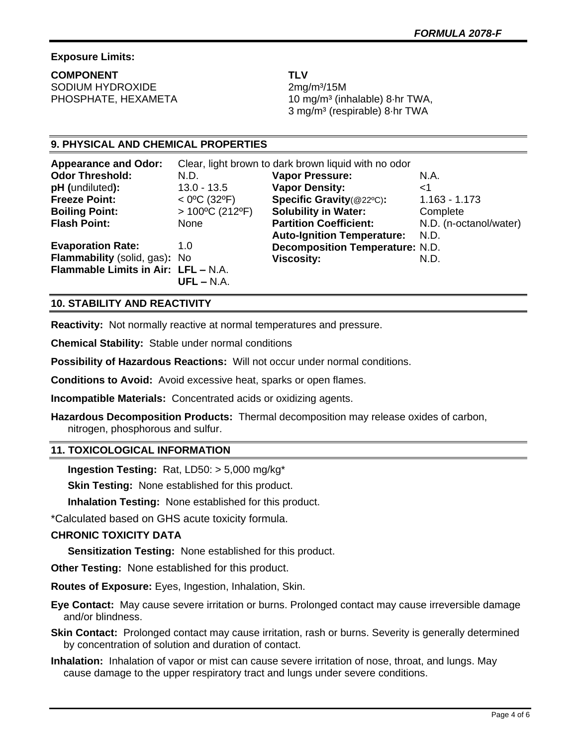# **Exposure Limits:**

**COMPONENT TLV** SODIUM HYDROXIDE 2mg/m<sup>3</sup>/15M

PHOSPHATE, HEXAMETA 10 mg/m<sup>3</sup> (inhalable) 8·hr TWA, 3 mg/m³ (respirable) 8·hr TWA

# **9. PHYSICAL AND CHEMICAL PROPERTIES**

| <b>Appearance and Odor:</b>         | Clear, light brown to dark brown liquid with no odor |                                        |                        |
|-------------------------------------|------------------------------------------------------|----------------------------------------|------------------------|
| <b>Odor Threshold:</b>              | N.D.                                                 | <b>Vapor Pressure:</b>                 | N.A.                   |
| pH (undiluted):                     | $13.0 - 13.5$                                        | <b>Vapor Density:</b>                  | <1                     |
| <b>Freeze Point:</b>                | $<$ 0°C (32°F)                                       | Specific Gravity(@22°C):               | $1.163 - 1.173$        |
| <b>Boiling Point:</b>               | $>100^{\circ}$ C (212°F)                             | <b>Solubility in Water:</b>            | Complete               |
| <b>Flash Point:</b>                 | None                                                 | <b>Partition Coefficient:</b>          | N.D. (n-octanol/water) |
|                                     |                                                      | <b>Auto-Ignition Temperature:</b>      | N.D.                   |
| <b>Evaporation Rate:</b>            | 1.0                                                  | <b>Decomposition Temperature: N.D.</b> |                        |
| Flammability (solid, gas): No       |                                                      | <b>Viscosity:</b>                      | N.D.                   |
| Flammable Limits in Air: LFL - N.A. |                                                      |                                        |                        |
|                                     | $UFL - N.A.$                                         |                                        |                        |

## **10. STABILITY AND REACTIVITY**

**Reactivity:** Not normally reactive at normal temperatures and pressure.

**Chemical Stability:** Stable under normal conditions

**Possibility of Hazardous Reactions:** Will not occur under normal conditions.

**Conditions to Avoid:** Avoid excessive heat, sparks or open flames.

**Incompatible Materials:** Concentrated acids or oxidizing agents.

**Hazardous Decomposition Products:** Thermal decomposition may release oxides of carbon, nitrogen, phosphorous and sulfur.

### **11. TOXICOLOGICAL INFORMATION**

**Ingestion Testing:** Rat, LD50: > 5,000 mg/kg\*

**Skin Testing:** None established for this product.

**Inhalation Testing:** None established for this product.

\*Calculated based on GHS acute toxicity formula.

### **CHRONIC TOXICITY DATA**

**Sensitization Testing:** None established for this product.

**Other Testing:** None established for this product.

**Routes of Exposure:** Eyes, Ingestion, Inhalation, Skin.

**Eye Contact:** May cause severe irritation or burns. Prolonged contact may cause irreversible damage and/or blindness.

**Skin Contact:** Prolonged contact may cause irritation, rash or burns. Severity is generally determined by concentration of solution and duration of contact.

**Inhalation:** Inhalation of vapor or mist can cause severe irritation of nose, throat, and lungs. May cause damage to the upper respiratory tract and lungs under severe conditions.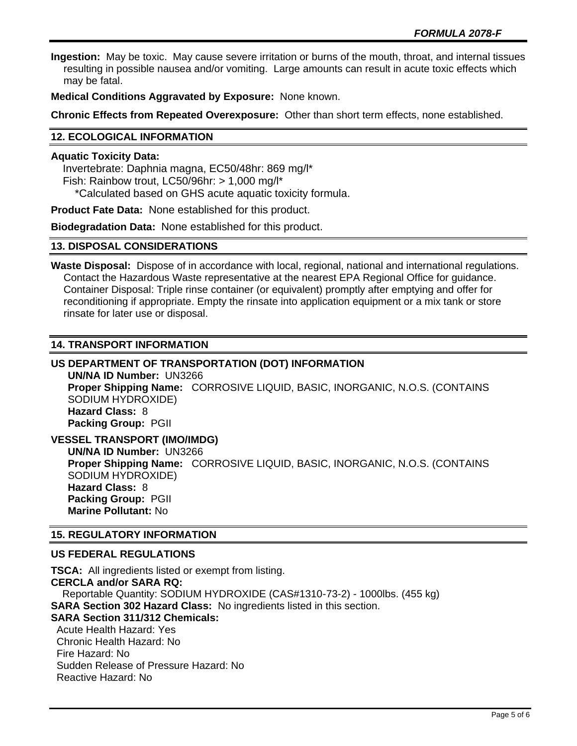**Ingestion:** May be toxic. May cause severe irritation or burns of the mouth, throat, and internal tissues resulting in possible nausea and/or vomiting. Large amounts can result in acute toxic effects which may be fatal.

**Medical Conditions Aggravated by Exposure:** None known.

**Chronic Effects from Repeated Overexposure:** Other than short term effects, none established.

# **12. ECOLOGICAL INFORMATION**

#### **Aquatic Toxicity Data:**

 Invertebrate: Daphnia magna, EC50/48hr: 869 mg/l\* Fish: Rainbow trout, LC50/96hr: > 1,000 mg/l\* \*Calculated based on GHS acute aquatic toxicity formula.

**Product Fate Data:** None established for this product.

**Biodegradation Data:** None established for this product.

#### **13. DISPOSAL CONSIDERATIONS**

**Waste Disposal:** Dispose of in accordance with local, regional, national and international regulations. Contact the Hazardous Waste representative at the nearest EPA Regional Office for guidance. Container Disposal: Triple rinse container (or equivalent) promptly after emptying and offer for reconditioning if appropriate. Empty the rinsate into application equipment or a mix tank or store rinsate for later use or disposal.

### **14. TRANSPORT INFORMATION**

# **US DEPARTMENT OF TRANSPORTATION (DOT) INFORMATION**

**UN/NA ID Number:** UN3266 **Proper Shipping Name:** CORROSIVE LIQUID, BASIC, INORGANIC, N.O.S. (CONTAINS SODIUM HYDROXIDE) **Hazard Class:** 8 **Packing Group:** PGII

**VESSEL TRANSPORT (IMO/IMDG) UN/NA ID Number:** UN3266 **Proper Shipping Name:** CORROSIVE LIQUID, BASIC, INORGANIC, N.O.S. (CONTAINS SODIUM HYDROXIDE) **Hazard Class:** 8 **Packing Group:** PGII **Marine Pollutant:** No

### **15. REGULATORY INFORMATION**

### **US FEDERAL REGULATIONS**

**TSCA:** All ingredients listed or exempt from listing. **CERCLA and/or SARA RQ:**  Reportable Quantity: SODIUM HYDROXIDE (CAS#1310-73-2) - 1000lbs. (455 kg) **SARA Section 302 Hazard Class:** No ingredients listed in this section. **SARA Section 311/312 Chemicals:**  Acute Health Hazard: Yes Chronic Health Hazard: No Fire Hazard: No Sudden Release of Pressure Hazard: No Reactive Hazard: No